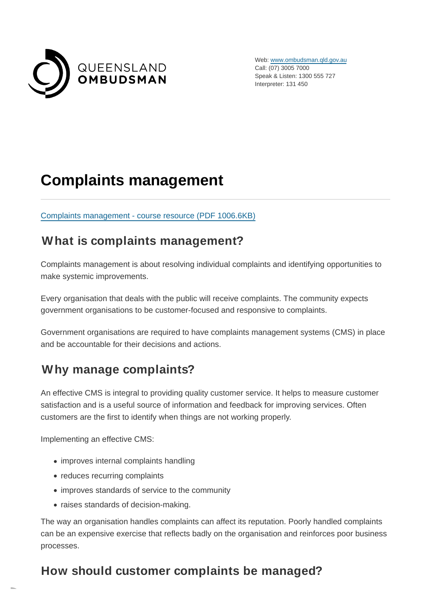

Web: [www.ombudsman.qld.gov.au](https://www.ombudsman.qld.gov.au/) Call: (07) 3005 7000 Speak & Listen: 1300 555 727 Interpreter: 131 450

# **Complaints management**

[Complaints management - course resource \(PDF](https://www.ombudsman.qld.gov.au/ArticleDocuments/206/QO%20CMT%20Resource%20-%20April%202021%205th%20edition%20%20-%20SECURE%20-%20PUBLIC.PDF.aspx) 1006.6KB)

### **What is complaints management?**

Complaints management is about resolving individual complaints and identifying opportunities to make systemic improvements.

Every organisation that deals with the public will receive complaints. The community expects government organisations to be customer-focused and responsive to complaints.

Government organisations are required to have complaints management systems (CMS) in place and be accountable for their decisions and actions.

## **Why manage complaints?**

An effective CMS is integral to providing quality customer service. It helps to measure customer satisfaction and is a useful source of information and feedback for improving services. Often customers are the first to identify when things are not working properly.

Implementing an effective CMS:

- improves internal complaints handling
- reduces recurring complaints
- improves standards of service to the community
- raises standards of decision-making.

The way an organisation handles complaints can affect its reputation. Poorly handled complaints can be an expensive exercise that reflects badly on the organisation and reinforces poor business processes.

## **How should customer complaints be managed?**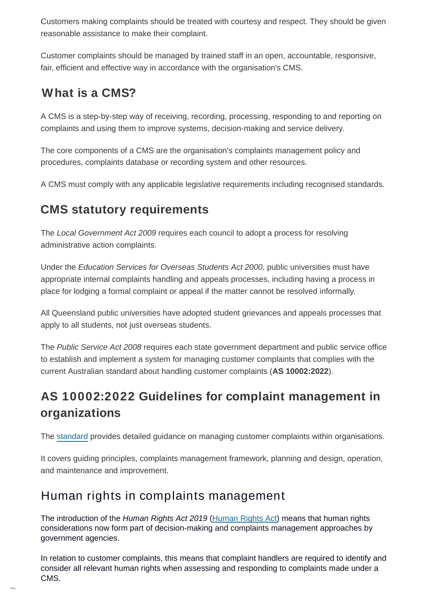Customers making complaints should be treated with courtesy and respect. They should be given reasonable assistance to make their complaint.

Customer complaints should be managed by trained staff in an open, accountable, responsive, fair, efficient and effective way in accordance with the organisation's CMS.

## **What is a CMS?**

A CMS is a step-by-step way of receiving, recording, processing, responding to and reporting on complaints and using them to improve systems, decision-making and service delivery.

The core components of a CMS are the organisation's complaints management policy and procedures, complaints database or recording system and other resources.

A CMS must comply with any applicable legislative requirements including recognised standards.

## **CMS statutory requirements**

The Local Government Act 2009 requires each council to adopt a process for resolving administrative action complaints.

Under the *Education Services for Overseas Students Act 2000*, public universities must have appropriate internal complaints handling and appeals processes, including having a process in place for lodging a formal complaint or appeal if the matter cannot be resolved informally.

All Queensland public universities have adopted student grievances and appeals processes that apply to all students, not just overseas students.

The Public Service Act 2008 requires each state government department and public service office to establish and implement a system for managing customer complaints that complies with the current Australian standard about handling customer complaints (**AS 10002:2022**).

## **AS 10002:2022 Guidelines for complaint management in organizations**

The [standard](https://infostore.saiglobal.com/en-au/Standards/AS-10002-2022-111525_SAIG_AS_AS_3124267/) provides detailed guidance on managing customer complaints within organisations.

It covers guiding principles, complaints management framework, planning and design, operation, and maintenance and improvement.

## Human rights in complaints management

The introduction of the Human Rights Act 2019 [\(Human Rights Act\)](https://www.legislation.qld.gov.au/view/pdf/asmade/act-2019-005) means that human rights considerations now form part of decision-making and complaints management approaches by government agencies.

In relation to customer complaints, this means that complaint handlers are required to identify and consider all relevant human rights when assessing and responding to complaints made under a CMS.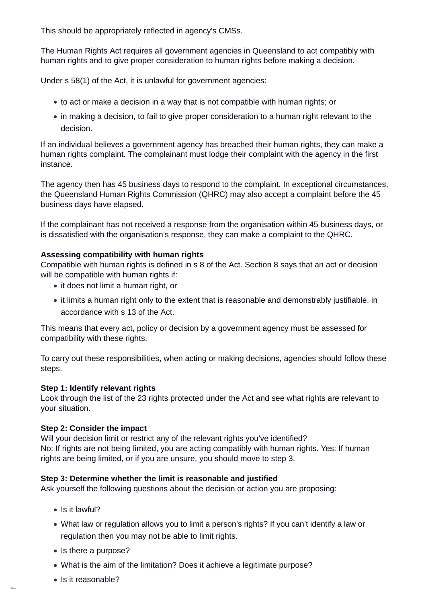This should be appropriately reflected in agency's CMSs.

The Human Rights Act requires all government agencies in Queensland to act compatibly with human rights and to give proper consideration to human rights before making a decision.

Under s 58(1) of the Act, it is unlawful for government agencies:

- to act or make a decision in a way that is not compatible with human rights; or
- in making a decision, to fail to give proper consideration to a human right relevant to the decision.

If an individual believes a government agency has breached their human rights, they can make a human rights complaint. The complainant must lodge their complaint with the agency in the first instance.

The agency then has 45 business days to respond to the complaint. In exceptional circumstances, the Queensland Human Rights Commission (QHRC) may also accept a complaint before the 45 business days have elapsed.

If the complainant has not received a response from the organisation within 45 business days, or is dissatisfied with the organisation's response, they can make a complaint to the QHRC.

#### **Assessing compatibility with human rights**

Compatible with human rights is defined in s 8 of the Act. Section 8 says that an act or decision will be compatible with human rights if:

- it does not limit a human right, or
- it limits a human right only to the extent that is reasonable and demonstrably justifiable, in accordance with s 13 of the Act.

This means that every act, policy or decision by a government agency must be assessed for compatibility with these rights.

To carry out these responsibilities, when acting or making decisions, agencies should follow these steps.

#### **Step 1: Identify relevant rights**

Look through the list of the 23 rights protected under the Act and see what rights are relevant to your situation.

#### **Step 2: Consider the impact**

Will your decision limit or restrict any of the relevant rights you've identified? No: If rights are not being limited, you are acting compatibly with human rights. Yes: If human rights are being limited, or if you are unsure, you should move to step 3.

#### **Step 3: Determine whether the limit is reasonable and justified**

Ask yourself the following questions about the decision or action you are proposing:

- $\bullet$  Is it lawful?
- What law or regulation allows you to limit a person's rights? If you can't identify a law or regulation then you may not be able to limit rights.
- Is there a purpose?
- What is the aim of the limitation? Does it achieve a legitimate purpose?
- Is it reasonable?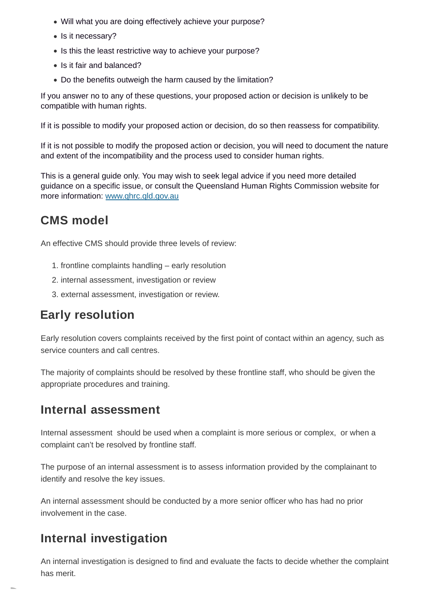- Will what you are doing effectively achieve your purpose?
- Is it necessary?
- Is this the least restrictive way to achieve your purpose?
- Is it fair and balanced?
- Do the benefits outweigh the harm caused by the limitation?

If you answer no to any of these questions, your proposed action or decision is unlikely to be compatible with human rights.

If it is possible to modify your proposed action or decision, do so then reassess for compatibility.

If it is not possible to modify the proposed action or decision, you will need to document the nature and extent of the incompatibility and the process used to consider human rights.

This is a general guide only. You may wish to seek legal advice if you need more detailed guidance on a specific issue, or consult the Queensland Human Rights Commission website for more information: [www.qhrc.qld.gov.au](https://www.qhrc.qld.gov.au/)

## **CMS model**

An effective CMS should provide three levels of review:

- 1. frontline complaints handling early resolution
- 2. internal assessment, investigation or review
- 3. external assessment, investigation or review.

### **Early resolution**

Early resolution covers complaints received by the first point of contact within an agency, such as service counters and call centres.

The majority of complaints should be resolved by these frontline staff, who should be given the appropriate procedures and training.

### **Internal assessment**

Internal assessment should be used when a complaint is more serious or complex, or when a complaint can't be resolved by frontline staff.

The purpose of an internal assessment is to assess information provided by the complainant to identify and resolve the key issues.

An internal assessment should be conducted by a more senior officer who has had no prior involvement in the case.

### **Internal investigation**

An internal investigation is designed to find and evaluate the facts to decide whether the complaint has merit.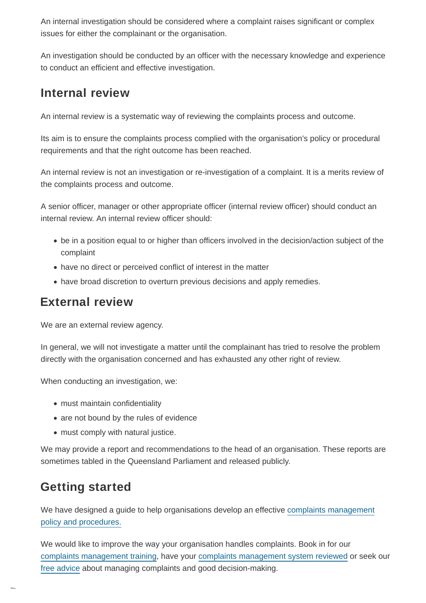An internal investigation should be considered where a complaint raises significant or complex issues for either the complainant or the organisation.

An investigation should be conducted by an officer with the necessary knowledge and experience to conduct an efficient and effective investigation.

### **Internal review**

An internal review is a systematic way of reviewing the complaints process and outcome.

Its aim is to ensure the complaints process complied with the organisation's policy or procedural requirements and that the right outcome has been reached.

An internal review is not an investigation or re-investigation of a complaint. It is a merits review of the complaints process and outcome.

A senior officer, manager or other appropriate officer (internal review officer) should conduct an internal review. An internal review officer should:

- be in a position equal to or higher than officers involved in the decision/action subject of the complaint
- have no direct or perceived conflict of interest in the matter
- have broad discretion to overturn previous decisions and apply remedies.

### **External review**

We are an external review agency.

In general, we will not investigate a matter until the complainant has tried to resolve the problem directly with the organisation concerned and has exhausted any other right of review.

When conducting an investigation, we:

- must maintain confidentiality
- are not bound by the rules of evidence
- must comply with natural justice.

We may provide a report and recommendations to the head of an organisation. These reports are sometimes tabled in the Queensland Parliament and released publicly.

## **Getting started**

We have designed a guide to help organisations develop an effective [complaints management](https://www.ombudsman.qld.gov.au/improve-public-administration/public-administration-resources/complaints-management/policy-and-procedure-guide/policy-and-procedure-guide) policy and procedures.

We would like to improve the way your organisation handles complaints. Book in for our [complaints management training,](https://www.ombudsman.qld.gov.au/training-and-education/training-courses/complaints-management/complaints-management-training) have your [complaints management system reviewed](https://www.ombudsman.qld.gov.au/improve-public-administration/advisory-service/advisory-service) or seek our [free advice a](https://www.ombudsman.qld.gov.au/improve-public-administration/advisory-service/advisory-service)bout managing complaints and good decision-making.